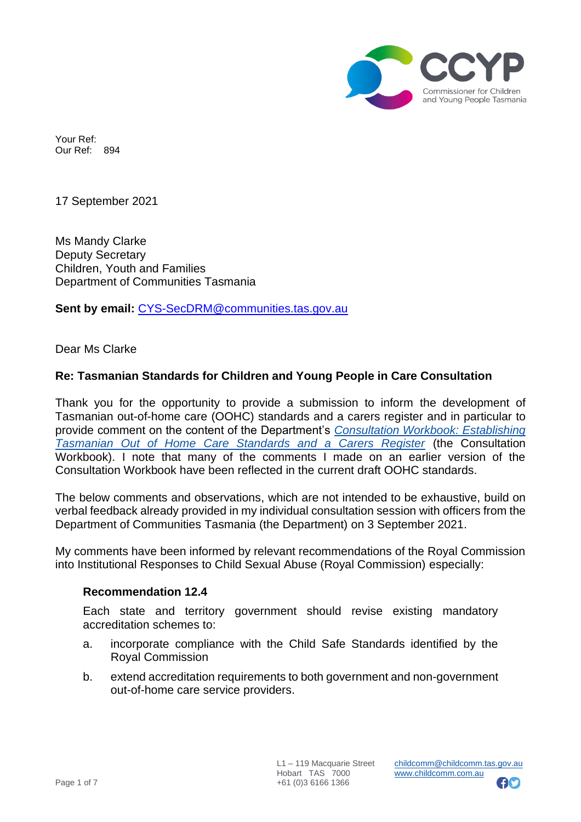

Your Ref: Our Ref: 894

17 September 2021

Ms Mandy Clarke Deputy Secretary Children, Youth and Families Department of Communities Tasmania

**Sent by email:** [CYS-SecDRM@communities.tas.gov.au](mailto:CYS-SecDRM@communities.tas.gov.au)

Dear Ms Clarke

### **Re: Tasmanian Standards for Children and Young People in Care Consultation**

Thank you for the opportunity to provide a submission to inform the development of Tasmanian out-of-home care (OOHC) standards and a carers register and in particular to provide comment on the content of the Department's *[Consultation Workbook: Establishing](https://www.communities.tas.gov.au/__data/assets/pdf_file/0030/177861/FINAL-OOHC-Standards-and-Carers-Register-Consultation-Workbook.pdf)  [Tasmanian Out of Home Care Standards and a Carers Register](https://www.communities.tas.gov.au/__data/assets/pdf_file/0030/177861/FINAL-OOHC-Standards-and-Carers-Register-Consultation-Workbook.pdf)* (the Consultation Workbook). I note that many of the comments I made on an earlier version of the Consultation Workbook have been reflected in the current draft OOHC standards.

The below comments and observations, which are not intended to be exhaustive, build on verbal feedback already provided in my individual consultation session with officers from the Department of Communities Tasmania (the Department) on 3 September 2021.

My comments have been informed by relevant recommendations of the Royal Commission into Institutional Responses to Child Sexual Abuse (Royal Commission) especially:

### **Recommendation 12.4**

Each state and territory government should revise existing mandatory accreditation schemes to:

- a. incorporate compliance with the Child Safe Standards identified by the Royal Commission
- b. extend accreditation requirements to both government and non-government out-of-home care service providers.

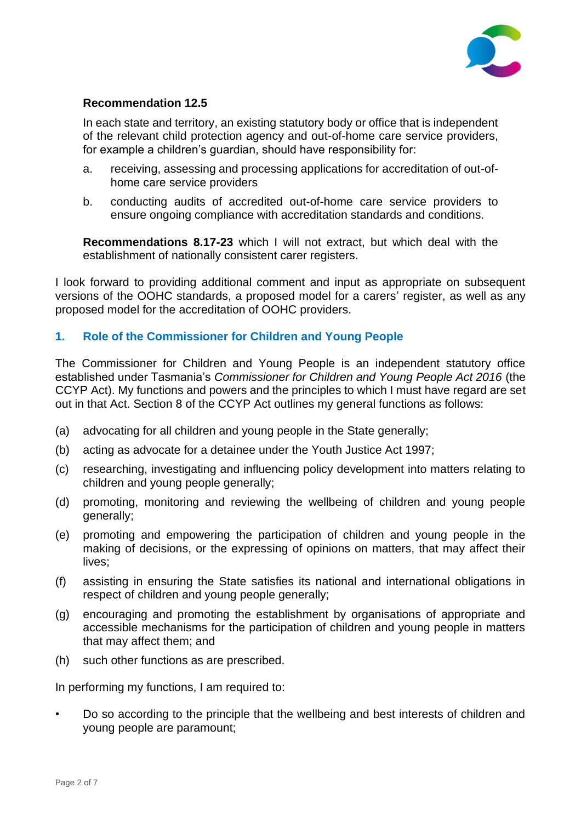

### **Recommendation 12.5**

In each state and territory, an existing statutory body or office that is independent of the relevant child protection agency and out-of-home care service providers, for example a children's guardian, should have responsibility for:

- a. receiving, assessing and processing applications for accreditation of out-ofhome care service providers
- b. conducting audits of accredited out-of-home care service providers to ensure ongoing compliance with accreditation standards and conditions.

**Recommendations 8.17-23** which I will not extract, but which deal with the establishment of nationally consistent carer registers.

I look forward to providing additional comment and input as appropriate on subsequent versions of the OOHC standards, a proposed model for a carers' register, as well as any proposed model for the accreditation of OOHC providers.

# **1. Role of the Commissioner for Children and Young People**

The Commissioner for Children and Young People is an independent statutory office established under Tasmania's *Commissioner for Children and Young People Act 2016* (the CCYP Act). My functions and powers and the principles to which I must have regard are set out in that Act. Section 8 of the CCYP Act outlines my general functions as follows:

- (a) advocating for all children and young people in the State generally;
- (b) acting as advocate for a detainee under the Youth Justice Act 1997;
- (c) researching, investigating and influencing policy development into matters relating to children and young people generally;
- (d) promoting, monitoring and reviewing the wellbeing of children and young people generally;
- (e) promoting and empowering the participation of children and young people in the making of decisions, or the expressing of opinions on matters, that may affect their lives;
- (f) assisting in ensuring the State satisfies its national and international obligations in respect of children and young people generally;
- (g) encouraging and promoting the establishment by organisations of appropriate and accessible mechanisms for the participation of children and young people in matters that may affect them; and
- (h) such other functions as are prescribed.

In performing my functions, I am required to:

• Do so according to the principle that the wellbeing and best interests of children and young people are paramount;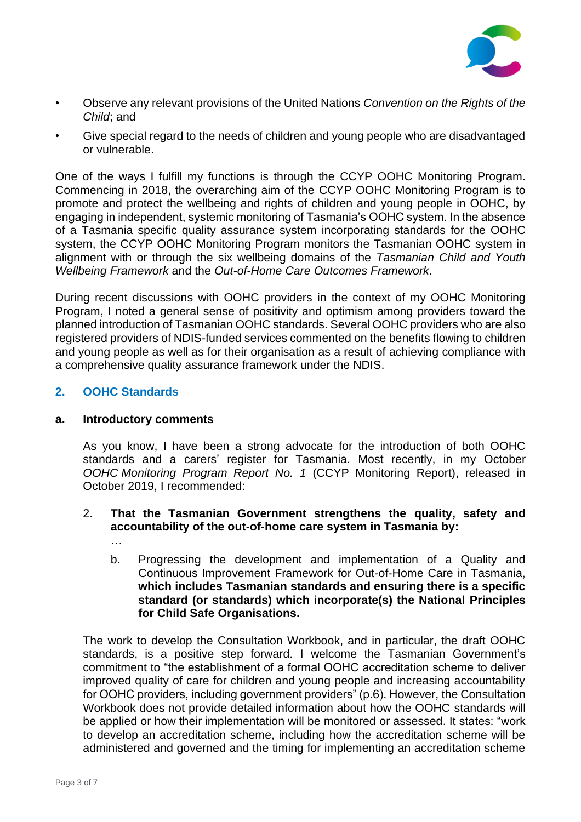

- Observe any relevant provisions of the United Nations *Convention on the Rights of the Child*; and
- Give special regard to the needs of children and young people who are disadvantaged or vulnerable.

One of the ways I fulfill my functions is through the CCYP OOHC Monitoring Program. Commencing in 2018, the overarching aim of the CCYP OOHC Monitoring Program is to promote and protect the wellbeing and rights of children and young people in OOHC, by engaging in independent, systemic monitoring of Tasmania's OOHC system. In the absence of a Tasmania specific quality assurance system incorporating standards for the OOHC system, the CCYP OOHC Monitoring Program monitors the Tasmanian OOHC system in alignment with or through the six wellbeing domains of the *Tasmanian Child and Youth Wellbeing Framework* and the *Out-of-Home Care Outcomes Framework*.

During recent discussions with OOHC providers in the context of my OOHC Monitoring Program, I noted a general sense of positivity and optimism among providers toward the planned introduction of Tasmanian OOHC standards. Several OOHC providers who are also registered providers of NDIS-funded services commented on the benefits flowing to children and young people as well as for their organisation as a result of achieving compliance with a comprehensive quality assurance framework under the NDIS.

# **2. OOHC Standards**

### **a. Introductory comments**

As you know, I have been a strong advocate for the introduction of both OOHC standards and a carers' register for Tasmania. Most recently, in my October *OOHC Monitoring Program Report No. 1* (CCYP Monitoring Report), released in October 2019, I recommended:

### 2. **That the Tasmanian Government strengthens the quality, safety and accountability of the out-of-home care system in Tasmania by:**

- …
- b. Progressing the development and implementation of a Quality and Continuous Improvement Framework for Out-of-Home Care in Tasmania, **which includes Tasmanian standards and ensuring there is a specific standard (or standards) which incorporate(s) the National Principles for Child Safe Organisations.**

The work to develop the Consultation Workbook, and in particular, the draft OOHC standards, is a positive step forward. I welcome the Tasmanian Government's commitment to "the establishment of a formal OOHC accreditation scheme to deliver improved quality of care for children and young people and increasing accountability for OOHC providers, including government providers" (p.6). However, the Consultation Workbook does not provide detailed information about how the OOHC standards will be applied or how their implementation will be monitored or assessed. It states: "work to develop an accreditation scheme, including how the accreditation scheme will be administered and governed and the timing for implementing an accreditation scheme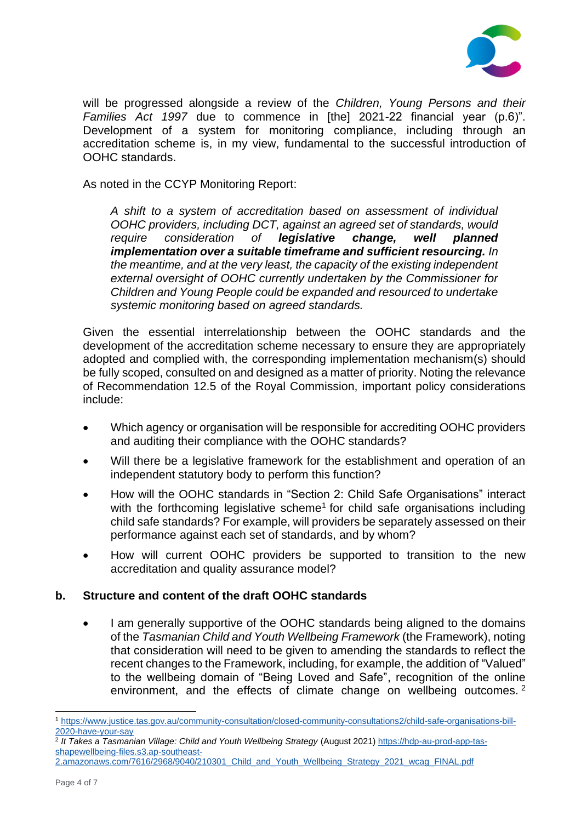

will be progressed alongside a review of the *Children, Young Persons and their Families Act 1997* due to commence in [the] 2021-22 financial year (p.6)". Development of a system for monitoring compliance, including through an accreditation scheme is, in my view, fundamental to the successful introduction of OOHC standards.

As noted in the CCYP Monitoring Report:

*A shift to a system of accreditation based on assessment of individual OOHC providers, including DCT, against an agreed set of standards, would require consideration of legislative change, well planned implementation over a suitable timeframe and sufficient resourcing. In the meantime, and at the very least, the capacity of the existing independent external oversight of OOHC currently undertaken by the Commissioner for Children and Young People could be expanded and resourced to undertake systemic monitoring based on agreed standards.*

Given the essential interrelationship between the OOHC standards and the development of the accreditation scheme necessary to ensure they are appropriately adopted and complied with, the corresponding implementation mechanism(s) should be fully scoped, consulted on and designed as a matter of priority. Noting the relevance of Recommendation 12.5 of the Royal Commission, important policy considerations include:

- Which agency or organisation will be responsible for accrediting OOHC providers and auditing their compliance with the OOHC standards?
- Will there be a legislative framework for the establishment and operation of an independent statutory body to perform this function?
- How will the OOHC standards in "Section 2: Child Safe Organisations" interact with the forthcoming legislative scheme<sup>1</sup> for child safe organisations including child safe standards? For example, will providers be separately assessed on their performance against each set of standards, and by whom?
- How will current OOHC providers be supported to transition to the new accreditation and quality assurance model?

# **b. Structure and content of the draft OOHC standards**

• I am generally supportive of the OOHC standards being aligned to the domains of the *Tasmanian Child and Youth Wellbeing Framework* (the Framework), noting that consideration will need to be given to amending the standards to reflect the recent changes to the Framework, including, for example, the addition of "Valued" to the wellbeing domain of "Being Loved and Safe", recognition of the online environment, and the effects of climate change on wellbeing outcomes.<sup>2</sup>

<sup>1</sup> [https://www.justice.tas.gov.au/community-consultation/closed-community-consultations2/child-safe-organisations-bill-](https://www.justice.tas.gov.au/community-consultation/closed-community-consultations2/child-safe-organisations-bill-2020-have-your-say)[2020-have-your-say](https://www.justice.tas.gov.au/community-consultation/closed-community-consultations2/child-safe-organisations-bill-2020-have-your-say)

<sup>&</sup>lt;sup>2</sup> It Takes a Tasmanian Village: Child and Youth Wellbeing Strategy (August 2021) <u>https://hdp-au-prod-app-tas-</u> [shapewellbeing-files.s3.ap-southeast-](https://hdp-au-prod-app-tas-shapewellbeing-files.s3.ap-southeast-2.amazonaws.com/7616/2968/9040/210301_Child_and_Youth_Wellbeing_Strategy_2021_wcag_FINAL.pdf)

[<sup>2.</sup>amazonaws.com/7616/2968/9040/210301\\_Child\\_and\\_Youth\\_Wellbeing\\_Strategy\\_2021\\_wcag\\_FINAL.pdf](https://hdp-au-prod-app-tas-shapewellbeing-files.s3.ap-southeast-2.amazonaws.com/7616/2968/9040/210301_Child_and_Youth_Wellbeing_Strategy_2021_wcag_FINAL.pdf)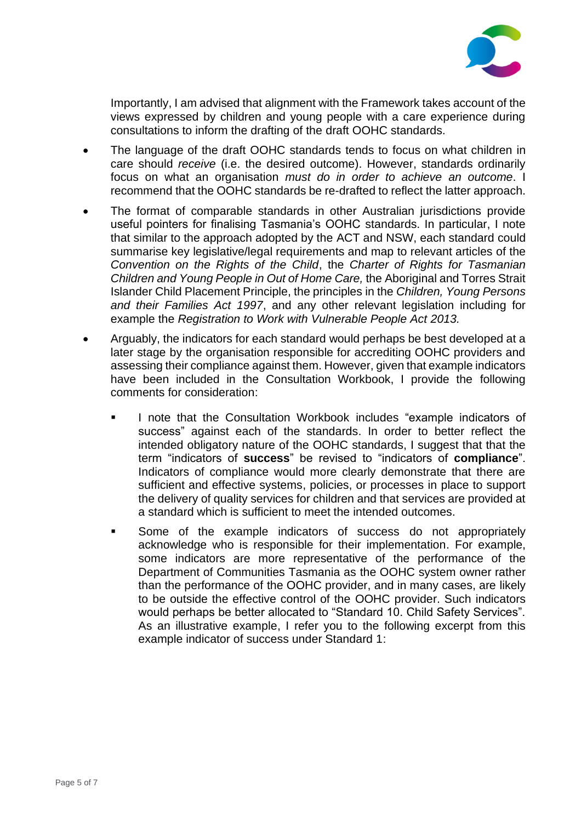

Importantly, I am advised that alignment with the Framework takes account of the views expressed by children and young people with a care experience during consultations to inform the drafting of the draft OOHC standards.

- The language of the draft OOHC standards tends to focus on what children in care should *receive* (i.e. the desired outcome). However, standards ordinarily focus on what an organisation *must do in order to achieve an outcome*. I recommend that the OOHC standards be re-drafted to reflect the latter approach.
- The format of comparable standards in other Australian jurisdictions provide useful pointers for finalising Tasmania's OOHC standards. In particular, I note that similar to the approach adopted by the ACT and NSW, each standard could summarise key legislative/legal requirements and map to relevant articles of the *Convention on the Rights of the Child*, the *Charter of Rights for Tasmanian Children and Young People in Out of Home Care,* the Aboriginal and Torres Strait Islander Child Placement Principle, the principles in the *Children, Young Persons and their Families Act 1997*, and any other relevant legislation including for example the *Registration to Work with Vulnerable People Act 2013.*
- Arguably, the indicators for each standard would perhaps be best developed at a later stage by the organisation responsible for accrediting OOHC providers and assessing their compliance against them. However, given that example indicators have been included in the Consultation Workbook, I provide the following comments for consideration:
	- I note that the Consultation Workbook includes "example indicators of success" against each of the standards. In order to better reflect the intended obligatory nature of the OOHC standards, I suggest that that the term "indicators of **success**" be revised to "indicators of **compliance**". Indicators of compliance would more clearly demonstrate that there are sufficient and effective systems, policies, or processes in place to support the delivery of quality services for children and that services are provided at a standard which is sufficient to meet the intended outcomes.
	- Some of the example indicators of success do not appropriately acknowledge who is responsible for their implementation. For example, some indicators are more representative of the performance of the Department of Communities Tasmania as the OOHC system owner rather than the performance of the OOHC provider, and in many cases, are likely to be outside the effective control of the OOHC provider. Such indicators would perhaps be better allocated to "Standard 10. Child Safety Services". As an illustrative example, I refer you to the following excerpt from this example indicator of success under Standard 1: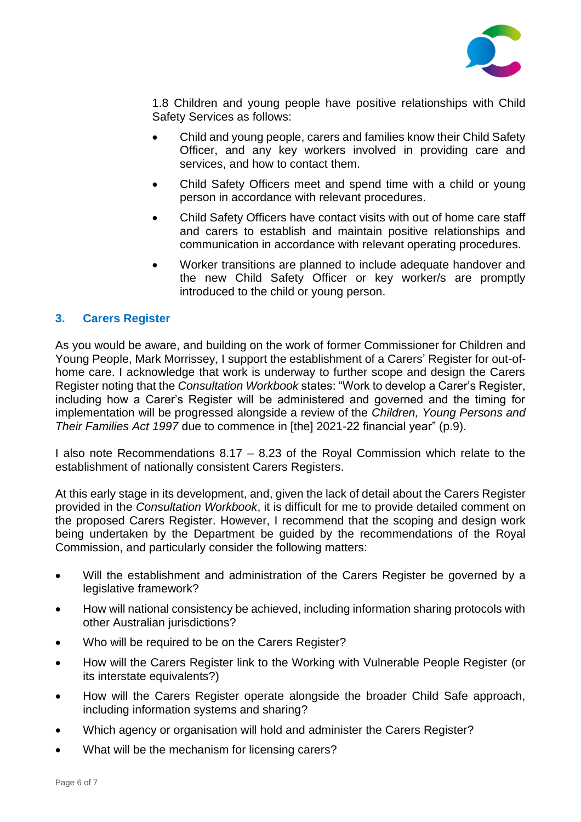

1.8 Children and young people have positive relationships with Child Safety Services as follows:

- Child and young people, carers and families know their Child Safety Officer, and any key workers involved in providing care and services, and how to contact them.
- Child Safety Officers meet and spend time with a child or young person in accordance with relevant procedures.
- Child Safety Officers have contact visits with out of home care staff and carers to establish and maintain positive relationships and communication in accordance with relevant operating procedures.
- Worker transitions are planned to include adequate handover and the new Child Safety Officer or key worker/s are promptly introduced to the child or young person.

### **3. Carers Register**

As you would be aware, and building on the work of former Commissioner for Children and Young People, Mark Morrissey, I support the establishment of a Carers' Register for out-ofhome care. I acknowledge that work is underway to further scope and design the Carers Register noting that the *Consultation Workbook* states: "Work to develop a Carer's Register, including how a Carer's Register will be administered and governed and the timing for implementation will be progressed alongside a review of the *Children, Young Persons and Their Families Act 1997* due to commence in [the] 2021-22 financial year" (p.9).

I also note Recommendations 8.17 – 8.23 of the Royal Commission which relate to the establishment of nationally consistent Carers Registers.

At this early stage in its development, and, given the lack of detail about the Carers Register provided in the *Consultation Workbook*, it is difficult for me to provide detailed comment on the proposed Carers Register. However, I recommend that the scoping and design work being undertaken by the Department be guided by the recommendations of the Royal Commission, and particularly consider the following matters:

- Will the establishment and administration of the Carers Register be governed by a legislative framework?
- How will national consistency be achieved, including information sharing protocols with other Australian jurisdictions?
- Who will be required to be on the Carers Register?
- How will the Carers Register link to the Working with Vulnerable People Register (or its interstate equivalents?)
- How will the Carers Register operate alongside the broader Child Safe approach, including information systems and sharing?
- Which agency or organisation will hold and administer the Carers Register?
- What will be the mechanism for licensing carers?